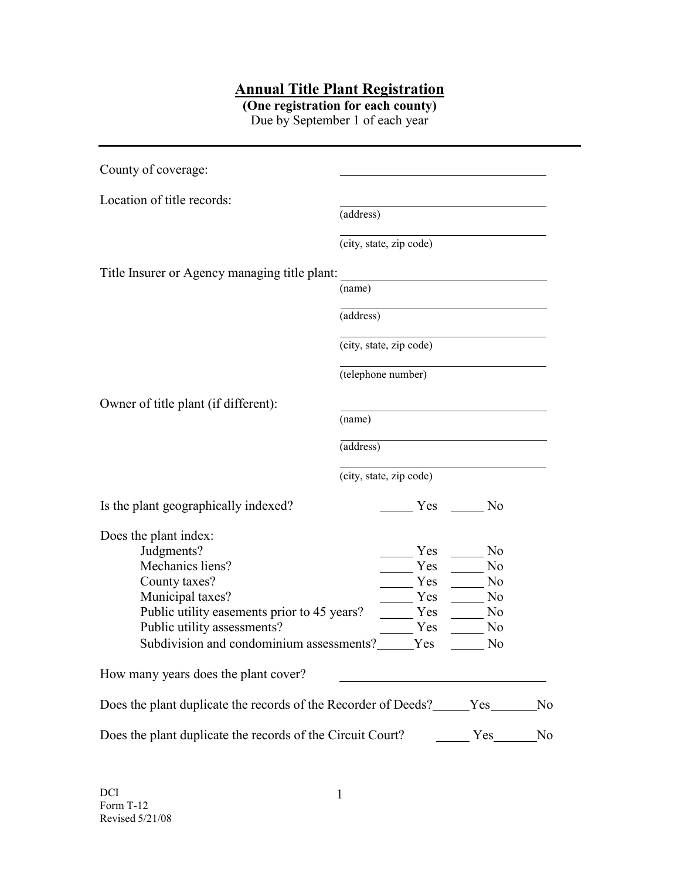## **Annual Title Plant Registration**

**(One registration for each county)** Due by September 1 of each year

| County of coverage:                                        |                         |     |                |    |
|------------------------------------------------------------|-------------------------|-----|----------------|----|
| Location of title records:                                 |                         |     |                |    |
|                                                            | (address)               |     |                |    |
|                                                            | (city, state, zip code) |     |                |    |
| Title Insurer or Agency managing title plant:              |                         |     |                |    |
|                                                            | (name)                  |     |                |    |
|                                                            | (address)               |     |                |    |
|                                                            | (city, state, zip code) |     |                |    |
|                                                            | (telephone number)      |     |                |    |
| Owner of title plant (if different):                       |                         |     |                |    |
|                                                            | (name)                  |     |                |    |
|                                                            | (address)               |     |                |    |
|                                                            | (city, state, zip code) |     |                |    |
| Is the plant geographically indexed?                       |                         |     | Yes No         |    |
| Does the plant index:                                      |                         |     |                |    |
| Judgments?                                                 |                         | Yes | N <sub>o</sub> |    |
| Mechanics liens?<br>Yes                                    |                         |     | No             |    |
| County taxes?                                              |                         | Yes | N <sub>0</sub> |    |
| Municipal taxes?                                           |                         | Yes | N <sub>0</sub> |    |
| Public utility easements prior to 45 years?                |                         | Yes | No             |    |
| Public utility assessments?                                |                         | Yes | No             |    |
| Subdivision and condominium assessments?<br>Yes            |                         |     | No             |    |
| How many years does the plant cover?                       |                         |     |                |    |
|                                                            |                         |     |                | No |
| Does the plant duplicate the records of the Circuit Court? | Yes                     | No  |                |    |